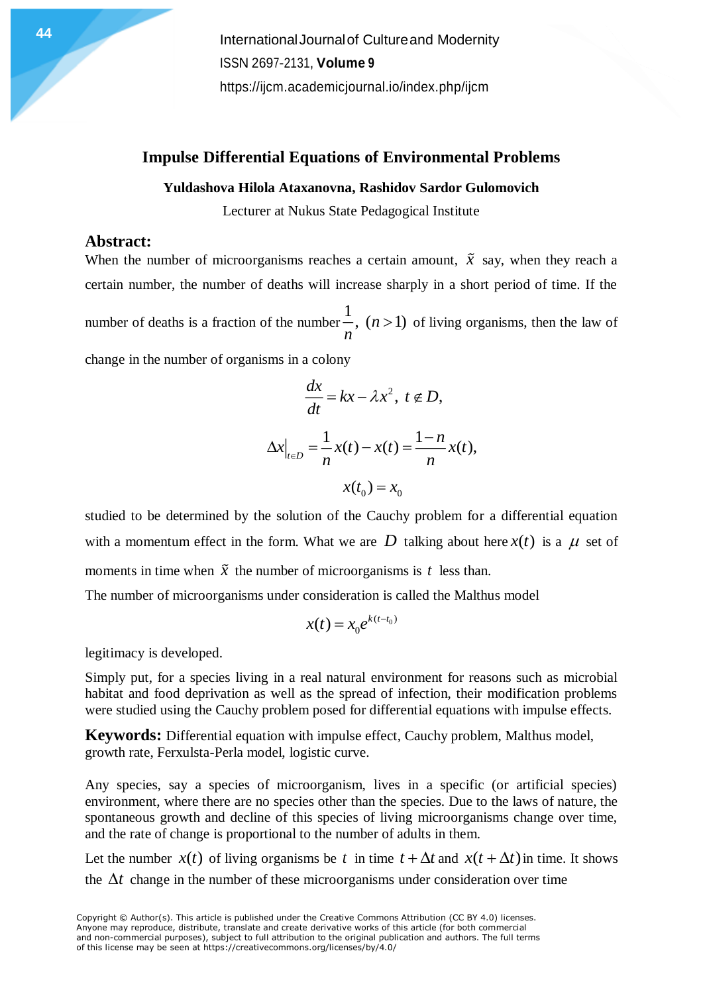## **Impulse Differential Equations of Environmental Problems**

#### **Yuldashova Hilola Ataxanovna, Rashidov Sardor Gulomovich**

Lecturer at Nukus State Pedagogical Institute

## **Abstract:**

When the number of microorganisms reaches a certain amount,  $\tilde{x}$  say, when they reach a certain number, the number of deaths will increase sharply in a short period of time. If the number of deaths is a fraction of the number 1 ,  $(n>1)$  of living organisms, then the law of *n*

change in the number of organisms in a colony

$$
\frac{dx}{dt} = kx - \lambda x^2, \ t \notin D,
$$
  

$$
\Delta x|_{t \in D} = \frac{1}{n} x(t) - x(t) = \frac{1 - n}{n} x(t),
$$
  

$$
x(t_0) = x_0
$$

studied to be determined by the solution of the Cauchy problem for a differential equation with a momentum effect in the form. What we are D talking about here  $x(t)$  is a  $\mu$  set of moments in time when  $\tilde{x}$  the number of microorganisms is t less than.

The number of microorganisms under consideration is called the Malthus model

$$
x(t) = x_0 e^{k(t-t_0)}
$$

legitimacy is developed.

Simply put, for a species living in a real natural environment for reasons such as microbial habitat and food deprivation as well as the spread of infection, their modification problems were studied using the Cauchy problem posed for differential equations with impulse effects.

**Keywords:** Differential equation with impulse effect, Cauchy problem, Malthus model, growth rate, Ferxulsta-Perla model, logistic curve.

Any species, say a species of microorganism, lives in a specific (or artificial species) environment, where there are no species other than the species. Due to the laws of nature, the spontaneous growth and decline of this species of living microorganisms change over time, and the rate of change is proportional to the number of adults in them.

Let the number  $x(t)$  of living organisms be t in time  $t + \Delta t$  and  $x(t + \Delta t)$  in time. It shows the  $\Delta t$  change in the number of these microorganisms under consideration over time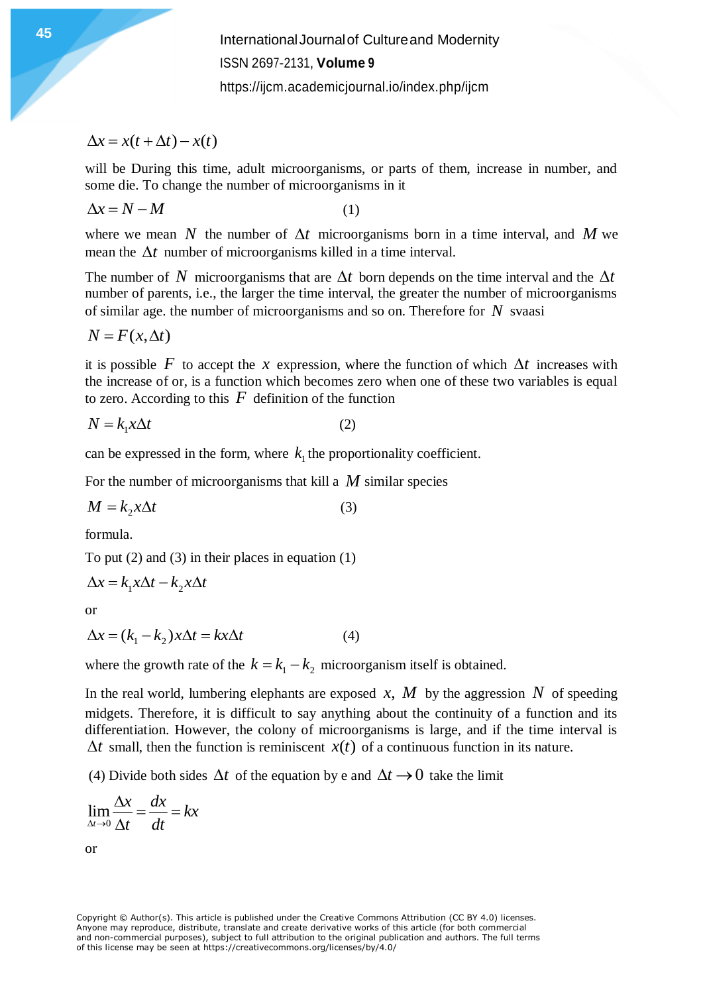# $\Delta x = x(t + \Delta t) - x(t)$

will be During this time, adult microorganisms, or parts of them, increase in number, and some die. To change the number of microorganisms in it

$$
\Delta x = N - M \tag{1}
$$

where we mean N the number of  $\Delta t$  microorganisms born in a time interval, and M we mean the  $\Delta t$  number of microorganisms killed in a time interval.

The number of N microorganisms that are  $\Delta t$  born depends on the time interval and the  $\Delta t$ number of parents, i.e., the larger the time interval, the greater the number of microorganisms of similar age. the number of microorganisms and so on. Therefore for *N* svaasi

$$
N = F(x, \Delta t)
$$

it is possible F to accept the x expression, where the function of which  $\Delta t$  increases with the increase of or, is a function which becomes zero when one of these two variables is equal to zero. According to this  $F$  definition of the function

$$
N = k_1 x \Delta t \tag{2}
$$

can be expressed in the form, where  $k_1$  the proportionality coefficient.

For the number of microorganisms that kill a *M* similar species

$$
M = k_2 x \Delta t \tag{3}
$$

formula.

To put  $(2)$  and  $(3)$  in their places in equation  $(1)$ 

$$
\Delta x = k_1 x \Delta t - k_2 x \Delta t
$$

or

$$
\Delta x = (k_1 - k_2)x\Delta t = kx\Delta t \tag{4}
$$

where the growth rate of the  $k = k_1 - k_2$  microorganism itself is obtained.

In the real world, lumbering elephants are exposed  $x$ ,  $M$  by the aggression  $N$  of speeding midgets. Therefore, it is difficult to say anything about the continuity of a function and its differentiation. However, the colony of microorganisms is large, and if the time interval is  $\Delta t$  small, then the function is reminiscent  $x(t)$  of a continuous function in its nature.

(4) Divide both sides  $\Delta t$  of the equation by e and  $\Delta t \rightarrow 0$  take the limit

$$
\lim_{\Delta t \to 0} \frac{\Delta x}{\Delta t} = \frac{dx}{dt} = kx
$$

or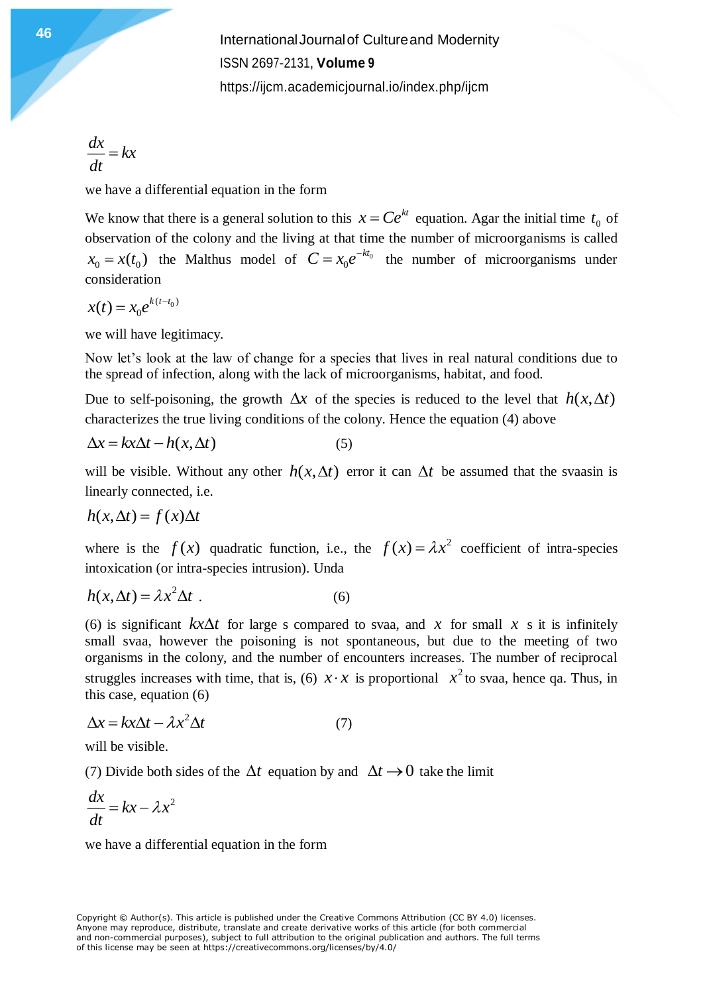$\frac{dx}{x} = kx$  $\frac{d}{dt}$  =

we have a differential equation in the form

We know that there is a general solution to this  $x = Ce^{kt}$  equation. Agar the initial time  $t_0$  of observation of the colony and the living at that time the number of microorganisms is called  $x_0 = x(t_0)$  the Malthus model of  $C = x_0 e^{-kt_0}$  the number of microorganisms under consideration

 $(t-t_0)$  $x(t) = x_0 e^{k(t-t)}$ 

we will have legitimacy.

Now let's look at the law of change for a species that lives in real natural conditions due to the spread of infection, along with the lack of microorganisms, habitat, and food.

Due to self-poisoning, the growth  $\Delta x$  of the species is reduced to the level that  $h(x, \Delta t)$ characterizes the true living conditions of the colony. Hence the equation (4) above

$$
\Delta x = kx\Delta t - h(x, \Delta t) \tag{5}
$$

will be visible. Without any other  $h(x, \Delta t)$  error it can  $\Delta t$  be assumed that the svaasin is linearly connected, i.e.

$$
h(x, \Delta t) = f(x)\Delta t
$$

where is the  $f(x)$  quadratic function, i.e., the  $f(x) = \lambda x^2$  coefficient of intra-species intoxication (or intra-species intrusion). Unda

$$
h(x, \Delta t) = \lambda x^2 \Delta t \tag{6}
$$

(6) is significant  $kx\Delta t$  for large s compared to svaa, and x for small x s it is infinitely small svaa, however the poisoning is not spontaneous, but due to the meeting of two organisms in the colony, and the number of encounters increases. The number of reciprocal struggles increases with time, that is, (6)  $x \cdot x$  is proportional  $x^2$  to svaa, hence qa. Thus, in this case, equation (6)

$$
\Delta x = kx\Delta t - \lambda x^2 \Delta t \tag{7}
$$

will be visible.

(7) Divide both sides of the  $\Delta t$  equation by and  $\Delta t \rightarrow 0$  take the limit

$$
\frac{dx}{dt} = kx - \lambda x^2
$$

we have a differential equation in the form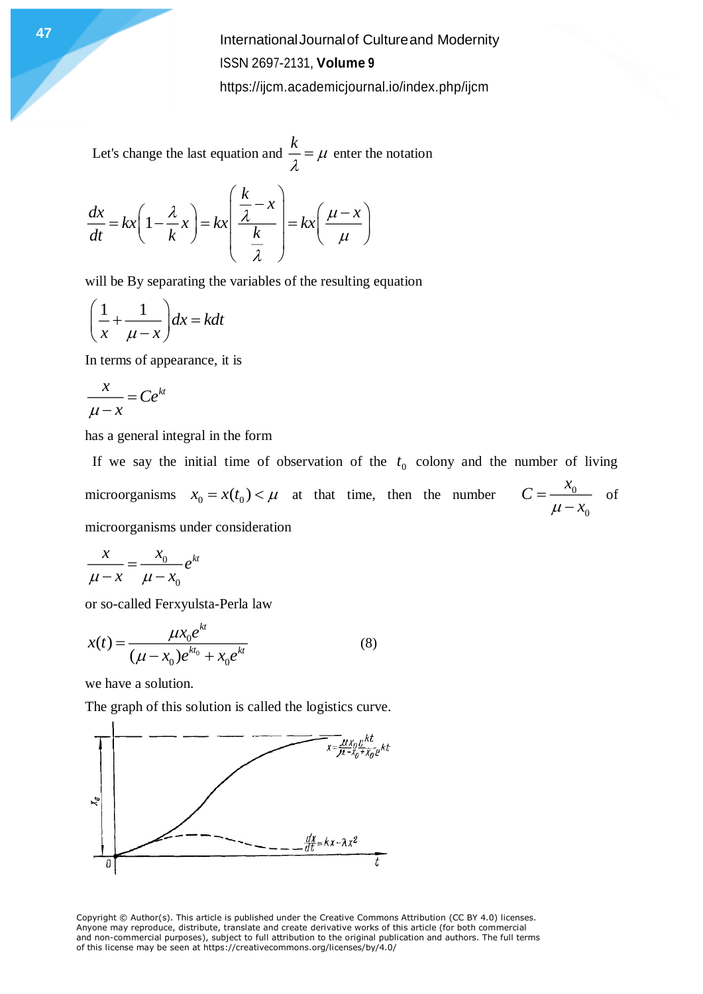Let's change the last equation and *k*  $\frac{\partial}{\partial t} = \mu$  enter the notation

$$
\frac{dx}{dt} = kx \left( 1 - \frac{\lambda}{k} x \right) = kx \left( \frac{\frac{k}{\lambda} - x}{\frac{k}{\lambda}} \right) = kx \left( \frac{\mu - x}{\mu} \right)
$$

will be By separating the variables of the resulting equation

$$
\left(\frac{1}{x} + \frac{1}{\mu - x}\right)dx = kdt
$$

In terms of appearance, it is

$$
\frac{x}{\mu - x} = Ce^{kt}
$$

has a general integral in the form

If we say the initial time of observation of the  $t_0$  colony and the number of living microorganisms  $x_0 = x(t_0) < \mu$  at that time, then the number  $C = \frac{x_0}{\mu}$ 0  $C = \frac{x}{x}$  $\mu - x$  $=\frac{1}{\mu-1}$ of microorganisms under consideration

$$
\frac{x}{\mu - x} = \frac{x_0}{\mu - x_0} e^{kt}
$$

or so-called Ferxyulsta-Perla law

$$
x(t) = \frac{\mu x_0 e^{kt}}{(\mu - x_0)e^{kt_0} + x_0 e^{kt}}
$$
 (8)

we have a solution.

The graph of this solution is called the logistics curve.



Copyright © Author(s). This article is published under the Creative Commons Attribution (CC BY 4.0) licenses. Anyone may reproduce, distribute, translate and create derivative works of this article (for both commercial and non-commercial purposes), subject to full attribution to the original publication and authors. The full terms of this license may be seen at https://creativecommons.org/licenses/by/4.0/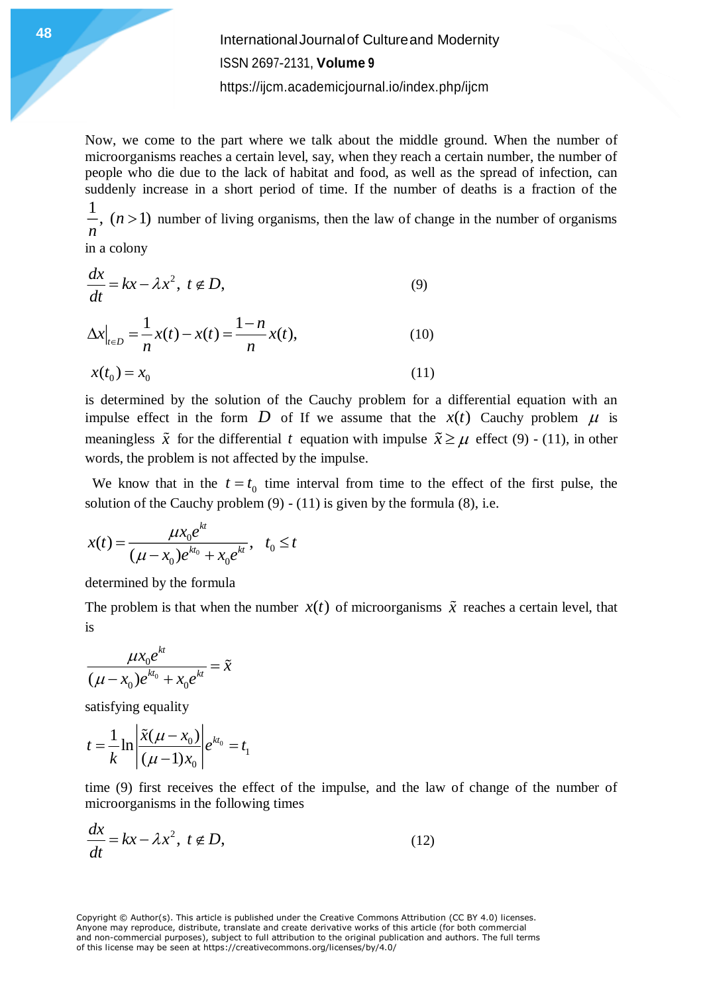Now, we come to the part where we talk about the middle ground. When the number of microorganisms reaches a certain level, say, when they reach a certain number, the number of people who die due to the lack of habitat and food, as well as the spread of infection, can suddenly increase in a short period of time. If the number of deaths is a fraction of the 1

 $(n>1)$ *n*  $>1$ ) number of living organisms, then the law of change in the number of organisms

in a colony

$$
\frac{dx}{dt} = kx - \lambda x^2, \ t \notin D,
$$
\n
$$
\Delta x\Big|_{t \in D} = \frac{1}{n}x(t) - x(t) = \frac{1-n}{n}x(t),
$$
\n(10)

$$
x(t_0) = x_0 \tag{11}
$$

is determined by the solution of the Cauchy problem for a differential equation with an impulse effect in the form D of If we assume that the  $x(t)$  Cauchy problem  $\mu$  is meaningless  $\tilde{x}$  for the differential t equation with impulse  $\tilde{x} \geq \mu$  effect (9) - (11), in other words, the problem is not affected by the impulse.

We know that in the  $t = t_0$  time interval from time to the effect of the first pulse, the solution of the Cauchy problem  $(9) - (11)$  is given by the formula  $(8)$ , i.e.

$$
x(t) = \frac{\mu x_0 e^{kt}}{(\mu - x_0)e^{kt_0} + x_0 e^{kt}}, \quad t_0 \le t
$$

determined by the formula

The problem is that when the number  $x(t)$  of microorganisms  $\tilde{x}$  reaches a certain level, that is

$$
\frac{\mu x_0 e^{kt}}{(\mu - x_0) e^{kt_0} + x_0 e^{kt}} = \tilde{x}
$$

satisfying equality

$$
t = \frac{1}{k} \ln \left| \frac{\tilde{x}(\mu - x_0)}{(\mu - 1)x_0} \right| e^{kt_0} = t_1
$$

time (9) first receives the effect of the impulse, and the law of change of the number of microorganisms in the following times

$$
\frac{dx}{dt} = kx - \lambda x^2, \ t \notin D,
$$
\n(12)

Copyright © Author(s). This article is published under the Creative Commons Attribution (CC BY 4.0) licenses. Anyone may reproduce, distribute, translate and create derivative works of this article (for both commercial and non-commercial purposes), subject to full attribution to the original publication and authors. The full terms of this license may be seen at https://creativecommons.org/licenses/by/4.0/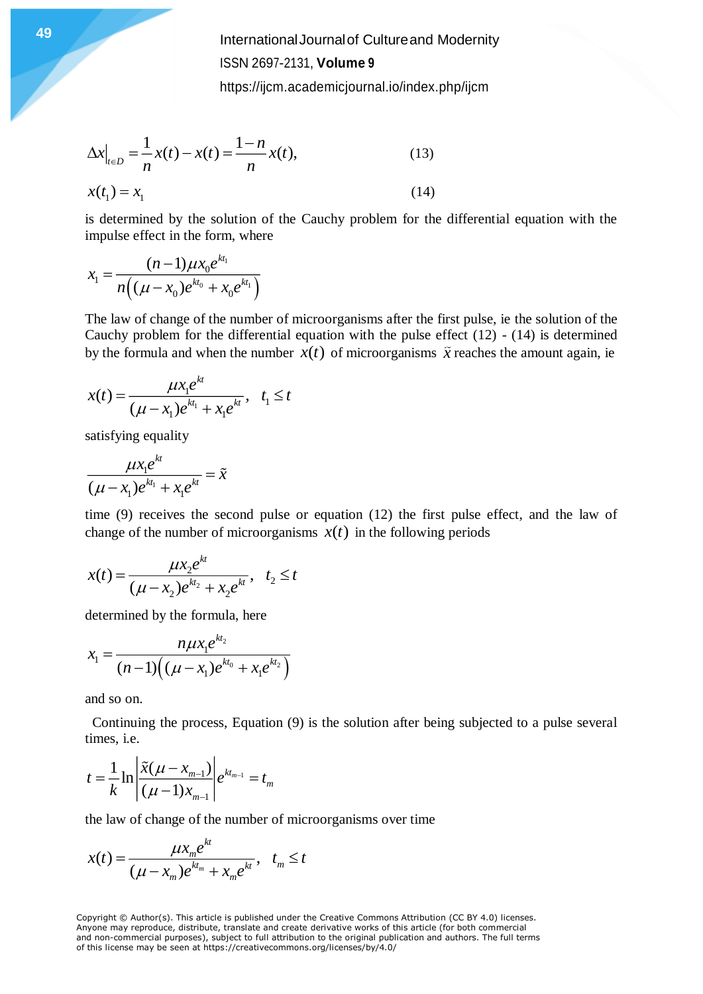**International Journal of Cultureand Modernity** ISSN 2697-2131, **Volume 9**

<https://ijcm.academicjournal.io/index.php/ijcm>

$$
\Delta x\Big|_{t \in D} = \frac{1}{n}x(t) - x(t) = \frac{1-n}{n}x(t),\tag{13}
$$
\n
$$
x(t_1) = x_1\tag{14}
$$

is determined by the solution of the Cauchy problem for the differential equation with the impulse effect in the form, where

$$
x_1 = \frac{(n-1)\mu x_0 e^{kt_1}}{n\left((\mu - x_0)e^{kt_0} + x_0 e^{kt_1}\right)}
$$

The law of change of the number of microorganisms after the first pulse, ie the solution of the Cauchy problem for the differential equation with the pulse effect  $(12) - (14)$  is determined by the formula and when the number  $x(t)$  of microorganisms  $\tilde{x}$  reaches the amount again, ie

$$
x(t) = \frac{\mu x_1 e^{kt}}{(\mu - x_1)e^{kt_1} + x_1 e^{kt}}, \quad t_1 \le t
$$

satisfying equality

$$
\frac{\mu x_1 e^{kt}}{(\mu - x_1)e^{kt_1} + x_1 e^{kt}} = \tilde{x}
$$

time (9) receives the second pulse or equation (12) the first pulse effect, and the law of change of the number of microorganisms  $x(t)$  in the following periods

$$
x(t) = \frac{\mu x_2 e^{kt}}{(\mu - x_2)e^{kt_2} + x_2 e^{kt}}, \quad t_2 \le t
$$

determined by the formula, here

$$
x_{1} = \frac{n\mu x_{1}e^{kt_{2}}}{(n-1)\left((\mu - x_{1})e^{kt_{0}} + x_{1}e^{kt_{2}}\right)}
$$

and so on.

 Continuing the process, Equation (9) is the solution after being subjected to a pulse several times, i.e.

$$
t = \frac{1}{k} \ln \left| \frac{\tilde{x}(\mu - x_{m-1})}{(\mu - 1)x_{m-1}} \right| e^{kt_{m-1}} = t_m
$$

the law of change of the number of microorganisms over time

$$
x(t) = \frac{\mu x_m e^{kt}}{(\mu - x_m)e^{kt_m} + x_m e^{kt}}, \quad t_m \le t
$$

Copyright © Author(s). This article is published under the Creative Commons Attribution (CC BY 4.0) licenses. Anyone may reproduce, distribute, translate and create derivative works of this article (for both commercial and non-commercial purposes), subject to full attribution to the original publication and authors. The full terms of this license may be seen at https://creativecommons.org/licenses/by/4.0/